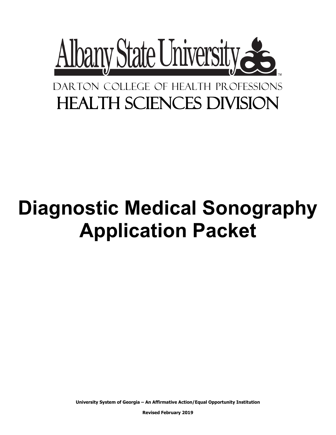

## DARTON COLLEGE OF HEALTH PROFESSIONS Health Sciences Division

# **Diagnostic Medical Sonography Application Packet**

**University System of Georgia – An Affirmative Action/Equal Opportunity Institution**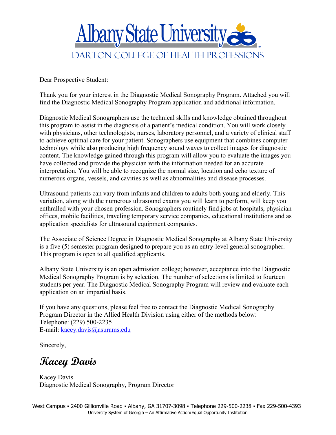

Dear Prospective Student:

Thank you for your interest in the Diagnostic Medical Sonography Program. Attached you will find the Diagnostic Medical Sonography Program application and additional information.

Diagnostic Medical Sonographers use the technical skills and knowledge obtained throughout this program to assist in the diagnosis of a patient's medical condition. You will work closely with physicians, other technologists, nurses, laboratory personnel, and a variety of clinical staff to achieve optimal care for your patient. Sonographers use equipment that combines computer technology while also producing high frequency sound waves to collect images for diagnostic content. The knowledge gained through this program will allow you to evaluate the images you have collected and provide the physician with the information needed for an accurate interpretation. You will be able to recognize the normal size, location and echo texture of numerous organs, vessels, and cavities as well as abnormalities and disease processes.

Ultrasound patients can vary from infants and children to adults both young and elderly. This variation, along with the numerous ultrasound exams you will learn to perform, will keep you enthralled with your chosen profession. Sonographers routinely find jobs at hospitals, physician offices, mobile facilities, traveling temporary service companies, educational institutions and as application specialists for ultrasound equipment companies.

The Associate of Science Degree in Diagnostic Medical Sonography at Albany State University is a five (5) semester program designed to prepare you as an entry-level general sonographer. This program is open to all qualified applicants.

Albany State University is an open admission college; however, acceptance into the Diagnostic Medical Sonography Program is by selection. The number of selections is limited to fourteen students per year. The Diagnostic Medical Sonography Program will review and evaluate each application on an impartial basis.

If you have any questions, please feel free to contact the Diagnostic Medical Sonography Program Director in the Allied Health Division using either of the methods below: Telephone: (229) 500-2235 E-mail: [kacey.davis@asurams.edu](mailto:kacey.davis@asurams.edu)

Sincerely,

**Kacey Davis**

Kacey Davis Diagnostic Medical Sonography, Program Director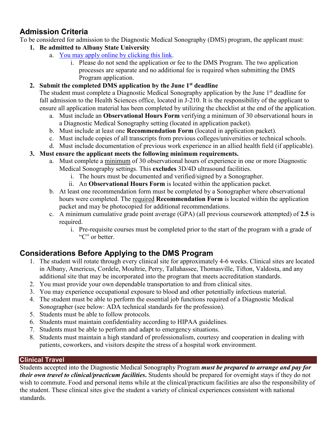#### **Admission Criteria**

To be considered for admission to the Diagnostic Medical Sonography (DMS) program, the applicant must:

- **1. Be admitted to Albany State University**
	- a. [You may apply online by clicking this link.](https://gafutures.xap.com/applications/usg/usg_common_app_short/introduction.asp?application_id=2871)
		- i. Please do not send the application or fee to the DMS Program. The two application processes are separate and no additional fee is required when submitting the DMS Program application.

#### **2. Submit the completed DMS application by the June 1st deadline**

The student must complete a Diagnostic Medical Sonography application by the June 1<sup>st</sup> deadline for fall admission to the Health Sciences office, located in J-210. It is the responsibility of the applicant to ensure all application material has been completed by utilizing the checklist at the end of the application.

- a. Must include an **Observational Hours Form** verifying a minimum of 30 observational hours in a Diagnostic Medical Sonography setting (located in application packet).
- b. Must include at least one **Recommendation Form** (located in application packet).
- c. Must include copies of all transcripts from previous colleges/universities or technical schools.
- d. Must include documentation of previous work experience in an allied health field (if applicable).

#### **3. Must ensure the applicant meets the following minimum requirements.**

- a. Must complete a minimum of 30 observational hours of experience in one or more Diagnostic Medical Sonography settings. This **excludes** 3D/4D ultrasound facilities.
	- i. The hours must be documented and verified/signed by a Sonographer.
	- ii. An **Observational Hours Form** is located within the application packet.
- b. At least one recommendation form must be completed by a Sonographer where observational hours were completed. The required **Recommendation Form** is located within the application packet and may be photocopied for additional recommendations.
- c. A minimum cumulative grade point average (GPA) (all previous coursework attempted) of **2.5** is required.
	- i. Pre-requisite courses must be completed prior to the start of the program with a grade of "C" or better.

#### **Considerations Before Applying to the DMS Program**

- 1. The student will rotate through every clinical site for approximately 4-6 weeks. Clinical sites are located in Albany, Americus, Cordele, Moultrie, Perry, Tallahassee, Thomasville, Tifton, Valdosta, and any additional site that may be incorporated into the program that meets accreditation standards.
- 2. You must provide your own dependable transportation to and from clinical sites.
- 3. You may experience occupational exposure to blood and other potentially infectious material.
- 4. The student must be able to perform the essential job functions required of a Diagnostic Medical Sonographer (see below: ADA technical standards for the profession).
- 5. Students must be able to follow protocols.
- 6. Students must maintain confidentiality according to HIPAA guidelines.
- 7. Students must be able to perform and adapt to emergency situations.
- 8. Students must maintain a high standard of professionalism, courtesy and cooperation in dealing with patients, coworkers, and visitors despite the stress of a hospital work environment.

#### **Clinical Travel**

Students accepted into the Diagnostic Medical Sonography Program *must be prepared to arrange and pay for their own travel to clinical/practicum facilities***.** Students should be prepared for overnight stays if they do not wish to commute. Food and personal items while at the clinical/practicum facilities are also the responsibility of the student. These clinical sites give the student a variety of clinical experiences consistent with national standards.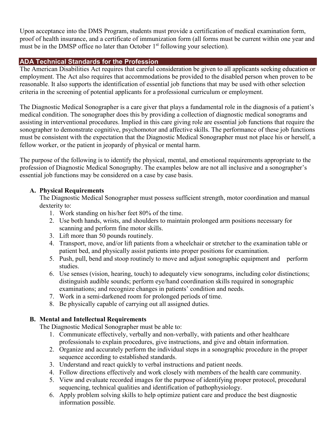Upon acceptance into the DMS Program, students must provide a certification of medical examination form, proof of health insurance, and a certificate of immunization form (all forms must be current within one year and must be in the DMSP office no later than October  $1<sup>st</sup>$  following your selection).

#### **ADA Technical Standards for the Profession**

The American Disabilities Act requires that careful consideration be given to all applicants seeking education or employment. The Act also requires that accommodations be provided to the disabled person when proven to be reasonable. It also supports the identification of essential job functions that may be used with other selection criteria in the screening of potential applicants for a professional curriculum or employment.

The Diagnostic Medical Sonographer is a care giver that plays a fundamental role in the diagnosis of a patient's medical condition. The sonographer does this by providing a collection of diagnostic medical sonograms and assisting in interventional procedures. Implied in this care giving role are essential job functions that require the sonographer to demonstrate cognitive, psychomotor and affective skills. The performance of these job functions must be consistent with the expectation that the Diagnostic Medical Sonographer must not place his or herself, a fellow worker, or the patient in jeopardy of physical or mental harm.

The purpose of the following is to identify the physical, mental, and emotional requirements appropriate to the profession of Diagnostic Medical Sonography. The examples below are not all inclusive and a sonographer's essential job functions may be considered on a case by case basis.

#### **A. Physical Requirements**

The Diagnostic Medical Sonographer must possess sufficient strength, motor coordination and manual dexterity to:

- 1. Work standing on his/her feet 80% of the time.
- 2. Use both hands, wrists, and shoulders to maintain prolonged arm positions necessary for scanning and perform fine motor skills.
- 3. Lift more than 50 pounds routinely.
- 4. Transport, move, and/or lift patients from a wheelchair or stretcher to the examination table or patient bed, and physically assist patients into proper positions for examination.
- 5. Push, pull, bend and stoop routinely to move and adjust sonographic equipment and perform studies.
- 6. Use senses (vision, hearing, touch) to adequately view sonograms, including color distinctions; distinguish audible sounds; perform eye/hand coordination skills required in sonographic examinations; and recognize changes in patients' condition and needs.
- 7. Work in a semi-darkened room for prolonged periods of time.
- 8. Be physically capable of carrying out all assigned duties.

#### **B. Mental and Intellectual Requirements**

The Diagnostic Medical Sonographer must be able to:

- 1. Communicate effectively, verbally and non-verbally, with patients and other healthcare professionals to explain procedures, give instructions, and give and obtain information.
- 2. Organize and accurately perform the individual steps in a sonographic procedure in the proper sequence according to established standards.
- 3. Understand and react quickly to verbal instructions and patient needs.
- 4. Follow directions effectively and work closely with members of the health care community.
- 5. View and evaluate recorded images for the purpose of identifying proper protocol, procedural sequencing, technical qualities and identification of pathophysiology.
- 6. Apply problem solving skills to help optimize patient care and produce the best diagnostic information possible.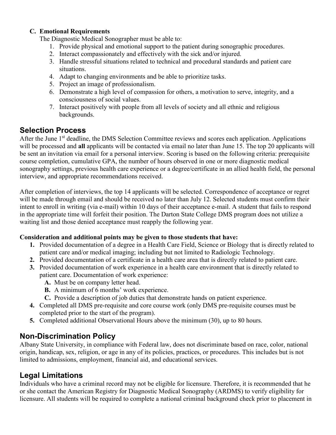#### **C. Emotional Requirements**

The Diagnostic Medical Sonographer must be able to:

- 1. Provide physical and emotional support to the patient during sonographic procedures.
- 2. Interact compassionately and effectively with the sick and/or injured.
- 3. Handle stressful situations related to technical and procedural standards and patient care situations.
- 4. Adapt to changing environments and be able to prioritize tasks.
- 5. Project an image of professionalism.
- 6. Demonstrate a high level of compassion for others, a motivation to serve, integrity, and a consciousness of social values.
- 7. Interact positively with people from all levels of society and all ethnic and religious backgrounds.

#### **Selection Process**

After the June 1<sup>st</sup> deadline, the DMS Selection Committee reviews and scores each application. Applications will be processed and **all** applicants will be contacted via email no later than June 15. The top 20 applicants will be sent an invitation via email for a personal interview. Scoring is based on the following criteria: prerequisite course completion, cumulative GPA, the number of hours observed in one or more diagnostic medical sonography settings, previous health care experience or a degree/certificate in an allied health field, the personal interview, and appropriate recommendations received.

After completion of interviews, the top 14 applicants will be selected. Correspondence of acceptance or regret will be made through email and should be received no later than July 12. Selected students must confirm their intent to enroll in writing (via e-mail) within 10 days of their acceptance e-mail. A student that fails to respond in the appropriate time will forfeit their position. The Darton State College DMS program does not utilize a waiting list and those denied acceptance must reapply the following year.

#### **Consideration and additional points may be given to those students that have:**

- **1.** Provided documentation of a degree in a Health Care Field, Science or Biology that is directly related to patient care and/or medical imaging; including but not limited to Radiologic Technology.
- **2.** Provided documentation of a certificate in a health care area that is directly related to patient care.
- **3.** Provided documentation of work experience in a health care environment that is directly related to patient care. Documentation of work experience:
	- **A.** Must be on company letter head.
	- **B.** A minimum of 6 months' work experience.
	- **C.** Provide a description of job duties that demonstrate hands on patient experience.
- **4.** Completed all DMS pre-requisite and core course work (only DMS pre-requisite courses must be completed prior to the start of the program).
- **5.** Completed additional Observational Hours above the minimum (30), up to 80 hours.

#### **Non-Discrimination Policy**

Albany State University, in compliance with Federal law, does not discriminate based on race, color, national origin, handicap, sex, religion, or age in any of its policies, practices, or procedures. This includes but is not limited to admissions, employment, financial aid, and educational services.

#### **Legal Limitations**

Individuals who have a criminal record may not be eligible for licensure. Therefore, it is recommended that he or she contact the American Registry for Diagnostic Medical Sonography (ARDMS) to verify eligibility for licensure. All students will be required to complete a national criminal background check prior to placement in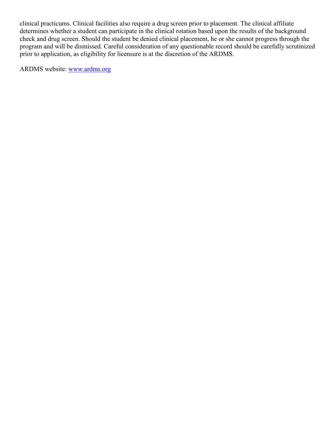clinical practicums. Clinical facilities also require a drug screen prior to placement. The clinical affiliate determines whether a student can participate in the clinical rotation based upon the results of the background check and drug screen. Should the student be denied clinical placement, he or she cannot progress through the program and will be dismissed. Careful consideration of any questionable record should be carefully scrutinized prior to application, as eligibility for licensure is at the discretion of the ARDMS.

ARDMS website: [www.ardms.org](http://www.ardms.org/)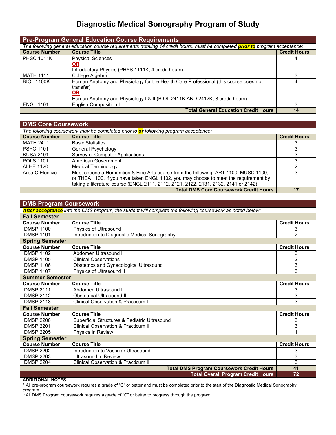### **Diagnostic Medical Sonography Program of Study**

| <b>Pre-Program General Education Course Requirements</b> |                                                                                                                                      |                     |  |  |  |
|----------------------------------------------------------|--------------------------------------------------------------------------------------------------------------------------------------|---------------------|--|--|--|
|                                                          | The following general education course requirements (totaling 14 credit hours) must be completed <b>prior to</b> program acceptance: |                     |  |  |  |
| <b>Course Number</b>                                     | <b>Course Title</b>                                                                                                                  | <b>Credit Hours</b> |  |  |  |
| <b>PHSC 1011K</b>                                        | <b>Physical Sciences I</b>                                                                                                           |                     |  |  |  |
|                                                          | <b>OR</b>                                                                                                                            |                     |  |  |  |
|                                                          | Introductory Physics (PHYS 1111K, 4 credit hours)                                                                                    |                     |  |  |  |
| <b>MATH 1111</b>                                         | College Algebra                                                                                                                      |                     |  |  |  |
| <b>BIOL 1100K</b>                                        | Human Anatomy and Physiology for the Health Care Professional (this course does not                                                  |                     |  |  |  |
|                                                          | transfer)                                                                                                                            |                     |  |  |  |
|                                                          | <b>OR</b>                                                                                                                            |                     |  |  |  |
|                                                          | Human Anatomy and Physiology I & II (BIOL 2411K AND 2412K, 8 credit hours)                                                           |                     |  |  |  |
| <b>ENGL 1101</b>                                         | <b>English Composition I</b>                                                                                                         | ર                   |  |  |  |
|                                                          | <b>Total General Education Credit Hours</b>                                                                                          | 14                  |  |  |  |

| <b>DMS Core Coursework</b> |                                                                                      |                     |  |  |  |  |
|----------------------------|--------------------------------------------------------------------------------------|---------------------|--|--|--|--|
|                            | The following coursework may be completed prior to or following program acceptance:  |                     |  |  |  |  |
| <b>Course Number</b>       | <b>Course Title</b>                                                                  | <b>Credit Hours</b> |  |  |  |  |
| <b>MATH 2411</b>           | <b>Basic Statistics</b>                                                              |                     |  |  |  |  |
| <b>PSYC 1101</b>           | General Psychology                                                                   |                     |  |  |  |  |
| <b>BUSA 2101</b>           | Survey of Computer Applications                                                      |                     |  |  |  |  |
| <b>POLS 1101</b>           | American Government                                                                  |                     |  |  |  |  |
| <b>ALHE 1120</b>           | <b>Medical Terminology</b>                                                           |                     |  |  |  |  |
| Area C Elective            | Must choose a Humanities & Fine Arts course from the following: ART 1100, MUSC 1100, | 3                   |  |  |  |  |
|                            | or THEA 1100. If you have taken ENGL 1102, you may choose to meet the requirement by |                     |  |  |  |  |
|                            | taking a literature course (ENGL 2111, 2112, 2121, 2122, 2131, 2132, 2141 or 2142)   |                     |  |  |  |  |
|                            | <b>Total DMS Core Coursework Credit Hours</b>                                        | 17                  |  |  |  |  |

| <b>DMS Program Coursework</b>                                                                             |                                                |                     |  |  |  |
|-----------------------------------------------------------------------------------------------------------|------------------------------------------------|---------------------|--|--|--|
| After acceptance into the DMS program, the student will complete the following coursework as noted below: |                                                |                     |  |  |  |
| <b>Fall Semester</b>                                                                                      |                                                |                     |  |  |  |
| <b>Course Number</b>                                                                                      | <b>Course Title</b>                            | <b>Credit Hours</b> |  |  |  |
| <b>DMSP 1100</b>                                                                                          | Physics of Ultrasound I                        | 3                   |  |  |  |
| <b>DMSP 1101</b>                                                                                          | Introduction to Diagnostic Medical Sonography  | $\overline{2}$      |  |  |  |
| <b>Spring Semester</b>                                                                                    |                                                |                     |  |  |  |
| <b>Course Number</b>                                                                                      | <b>Course Title</b>                            | <b>Credit Hours</b> |  |  |  |
| <b>DMSP 1102</b>                                                                                          | Abdomen Ultrasound I                           | 3                   |  |  |  |
| <b>DMSP 1105</b>                                                                                          | <b>Clinical Observations</b>                   | $\overline{2}$      |  |  |  |
| <b>DMSP 1106</b>                                                                                          | Obstetrics and Gynecological Ultrasound I      | 3                   |  |  |  |
| <b>DMSP 1107</b>                                                                                          | Physics of Ultrasound II                       | 3                   |  |  |  |
| <b>Summer Semester</b>                                                                                    |                                                |                     |  |  |  |
| <b>Course Number</b>                                                                                      | <b>Course Title</b>                            | <b>Credit Hours</b> |  |  |  |
| <b>DMSP 2111</b>                                                                                          | Abdomen Ultrasound II                          | 3                   |  |  |  |
| <b>DMSP 2112</b>                                                                                          | <b>Obstetrical Ultrasound II</b>               | 3                   |  |  |  |
| <b>DMSP 2113</b>                                                                                          | <b>Clinical Observation &amp; Practicum I</b>  | 3                   |  |  |  |
| <b>Fall Semester</b>                                                                                      |                                                |                     |  |  |  |
| <b>Course Number</b>                                                                                      | <b>Course Title</b>                            | <b>Credit Hours</b> |  |  |  |
| <b>DMSP 2200</b>                                                                                          | Superficial Structures & Pediatric Ultrasound  | 3                   |  |  |  |
| <b>DMSP 2201</b>                                                                                          | <b>Clinical Observation &amp; Practicum II</b> | 3                   |  |  |  |
| <b>DMSP 2205</b>                                                                                          | Physics in Review                              |                     |  |  |  |
| <b>Spring Semester</b>                                                                                    |                                                |                     |  |  |  |
| <b>Course Number</b>                                                                                      | <b>Course Title</b>                            | <b>Credit Hours</b> |  |  |  |
| <b>DMSP 2202</b>                                                                                          | Introduction to Vascular Ultrasound            | 3                   |  |  |  |
| <b>DMSP 2203</b>                                                                                          | Ultrasound in Review                           | 3                   |  |  |  |
| <b>DMSP 2204</b>                                                                                          | Clinical Observation & Practicum III           | 3                   |  |  |  |
| <b>Total DMS Program Coursework Credit Hours</b>                                                          |                                                |                     |  |  |  |
|                                                                                                           | <b>Total Overall Program Credit Hours</b>      | 72                  |  |  |  |

**ADDITIONAL NOTES:**

\* All pre-program coursework requires a grade of "C" or better and must be completed prior to the start of the Diagnostic Medical Sonography program

\*All DMS Program coursework requires a grade of "C" or better to progress through the program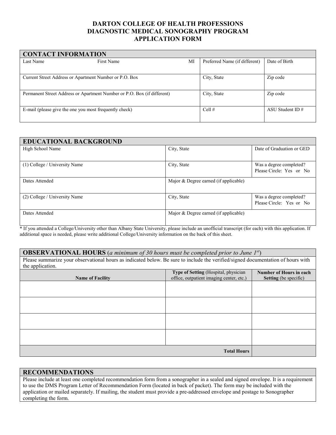#### **DARTON COLLEGE OF HEALTH PROFESSIONS DIAGNOSTIC MEDICAL SONOGRAPHY PROGRAM APPLICATION FORM**

| <b>CONTACT INFORMATION</b> |                                                                         |    |                               |                    |  |  |  |
|----------------------------|-------------------------------------------------------------------------|----|-------------------------------|--------------------|--|--|--|
| Last Name                  | First Name                                                              | MI | Preferred Name (if different) | Date of Birth      |  |  |  |
|                            | Current Street Address or Apartment Number or P.O. Box                  |    | City, State                   | Zip code           |  |  |  |
|                            | Permanent Street Address or Apartment Number or P.O. Box (if different) |    | City, State                   | Zip code           |  |  |  |
|                            | E-mail (please give the one you most frequently check)                  |    | Cell $#$                      | ASU Student ID $#$ |  |  |  |

| <b>EDUCATIONAL BACKGROUND</b> |                                       |                                                     |
|-------------------------------|---------------------------------------|-----------------------------------------------------|
| High School Name              | City, State                           | Date of Graduation or GED                           |
| (1) College / University Name | City, State                           | Was a degree completed?<br>Please Circle: Yes or No |
| Dates Attended                | Major & Degree earned (if applicable) |                                                     |
| (2) College / University Name | City, State                           | Was a degree completed?<br>Please Circle: Yes or No |
| Dates Attended                | Major & Degree earned (if applicable) |                                                     |

\* If you attended a College/University other than Albany State University, please include an unofficial transcript (for each) with this application. If additional space is needed, please write additional College/University information on the back of this sheet.

#### **OBSERVATIONAL HOURS** (*a minimum of 30 hours must be completed prior to June 1st*)

Please summarize your observational hours as indicated below. Be sure to include the verified/signed documentation of hours with the application.

| $\mathbf{u}$            |                                                                                  |                                                         |
|-------------------------|----------------------------------------------------------------------------------|---------------------------------------------------------|
| <b>Name of Facility</b> | Type of Setting (Hospital, physician<br>office, outpatient imaging center, etc.) | Number of Hours in each<br><b>Setting</b> (be specific) |
|                         |                                                                                  |                                                         |
|                         |                                                                                  |                                                         |
|                         |                                                                                  |                                                         |
|                         |                                                                                  |                                                         |
|                         |                                                                                  |                                                         |
|                         |                                                                                  |                                                         |
|                         |                                                                                  |                                                         |
|                         |                                                                                  |                                                         |
|                         | <b>Total Hours</b>                                                               |                                                         |

#### **RECOMMENDATIONS**

Please include at least one completed recommendation form from a sonographer in a sealed and signed envelope. It is a requirement to use the DMS Program Letter of Recommendation Form (located in back of packet). The form may be included with the application or mailed separately. If mailing, the student must provide a pre-addressed envelope and postage to Sonographer completing the form.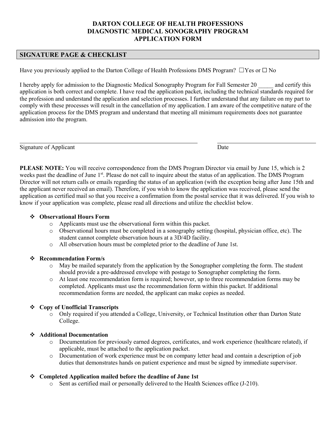#### **DARTON COLLEGE OF HEALTH PROFESSIONS DIAGNOSTIC MEDICAL SONOGRAPHY PROGRAM APPLICATION FORM**

#### **SIGNATURE PAGE & CHECKLIST**

Have you previously applied to the Darton College of Health Professions DMS Program?  $□$ Yes or  $□$  No

I hereby apply for admission to the Diagnostic Medical Sonography Program for Fall Semester 20 \_\_\_\_\_ and certify this application is both correct and complete. I have read the application packet, including the technical standards required for the profession and understand the application and selection processes. I further understand that any failure on my part to comply with these processes will result in the cancellation of my application. I am aware of the competitive nature of the application process for the DMS program and understand that meeting all minimum requirements does not guarantee admission into the program.

Signature of Applicant Date

**PLEASE NOTE:** You will receive correspondence from the DMS Program Director via email by June 15, which is 2 weeks past the deadline of June 1<sup>st</sup>. Please do not call to inquire about the status of an application. The DMS Program Director will not return calls or emails regarding the status of an application (with the exception being after June 15th and the applicant never received an email). Therefore, if you wish to know the application was received, please send the application as certified mail so that you receive a confirmation from the postal service that it was delivered. If you wish to know if your application was complete, please read all directions and utilize the checklist below.

#### **Observational Hours Form**

- o Applicants must use the observational form within this packet.
- o Observational hours must be completed in a sonography setting (hospital, physician office, etc). The student cannot complete observation hours at a 3D/4D facility.
- o All observation hours must be completed prior to the deadline of June 1st.

#### **Recommendation Form/s**

- o May be mailed separately from the application by the Sonographer completing the form. The student should provide a pre-addressed envelope with postage to Sonographer completing the form.
- o At least one recommendation form is required; however, up to three recommendation forms may be completed. Applicants must use the recommendation form within this packet. If additional recommendation forms are needed, the applicant can make copies as needed.

#### **Copy of Unofficial Transcripts**

o Only required if you attended a College, University, or Technical Institution other than Darton State College.

#### **Additional Documentation**

- o Documentation for previously earned degrees, certificates, and work experience (healthcare related), if applicable, must be attached to the application packet.
- o Documentation of work experience must be on company letter head and contain a description of job duties that demonstrates hands on patient experience and must be signed by immediate supervisor.

#### **Completed Application mailed before the deadline of June 1st**

o Sent as certified mail or personally delivered to the Health Sciences office (J-210).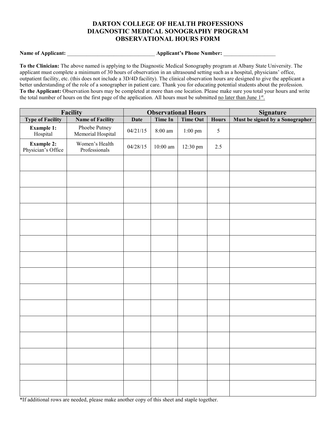#### **DARTON COLLEGE OF HEALTH PROFESSIONS DIAGNOSTIC MEDICAL SONOGRAPHY PROGRAM OBSERVATIONAL HOURS FORM**

**Name of Applicant:** \_\_\_\_\_\_\_\_\_\_\_\_\_\_\_\_\_\_\_\_\_\_\_\_\_\_\_\_\_\_\_\_ **Applicant's Phone Number:** \_\_\_\_\_\_\_\_\_\_\_\_\_\_\_\_\_\_\_

**To the Clinician:** The above named is applying to the Diagnostic Medical Sonography program at Albany State University. The applicant must complete a minimum of 30 hours of observation in an ultrasound setting such as a hospital, physicians' office, outpatient facility, etc. (this does not include a 3D/4D facility). The clinical observation hours are designed to give the applicant a better understanding of the role of a sonographer in patient care. Thank you for educating potential students about the profession. **To the Applicant:** Observation hours may be completed at more than one location. Please make sure you total your hours and write the total number of hours on the first page of the application. All hours must be submitted no later than June 1st.

| Facility                                |                                    | <b>Observational Hours</b> |            |                  | <b>Signature</b> |                                 |
|-----------------------------------------|------------------------------------|----------------------------|------------|------------------|------------------|---------------------------------|
| <b>Type of Facility</b>                 | <b>Name of Facility</b>            | <b>Date</b>                | Time In    | <b>Time Out</b>  | <b>Hours</b>     | Must be signed by a Sonographer |
| <b>Example 1:</b><br>Hospital           | Phoebe Putney<br>Memorial Hospital | 04/21/15                   | $8:00$ am  | $1:00\;{\rm pm}$ | 5                |                                 |
| <b>Example 2:</b><br>Physician's Office | Women's Health<br>Professionals    | 04/28/15                   | $10:00$ am | 12:30 pm         | 2.5              |                                 |
|                                         |                                    |                            |            |                  |                  |                                 |
|                                         |                                    |                            |            |                  |                  |                                 |
|                                         |                                    |                            |            |                  |                  |                                 |
|                                         |                                    |                            |            |                  |                  |                                 |
|                                         |                                    |                            |            |                  |                  |                                 |
|                                         |                                    |                            |            |                  |                  |                                 |
|                                         |                                    |                            |            |                  |                  |                                 |
|                                         |                                    |                            |            |                  |                  |                                 |
|                                         |                                    |                            |            |                  |                  |                                 |
|                                         |                                    |                            |            |                  |                  |                                 |
|                                         |                                    |                            |            |                  |                  |                                 |
|                                         |                                    |                            |            |                  |                  |                                 |
|                                         |                                    |                            |            |                  |                  |                                 |
|                                         |                                    |                            |            |                  |                  |                                 |
|                                         |                                    |                            |            |                  |                  |                                 |

\*If additional rows are needed, please make another copy of this sheet and staple together.